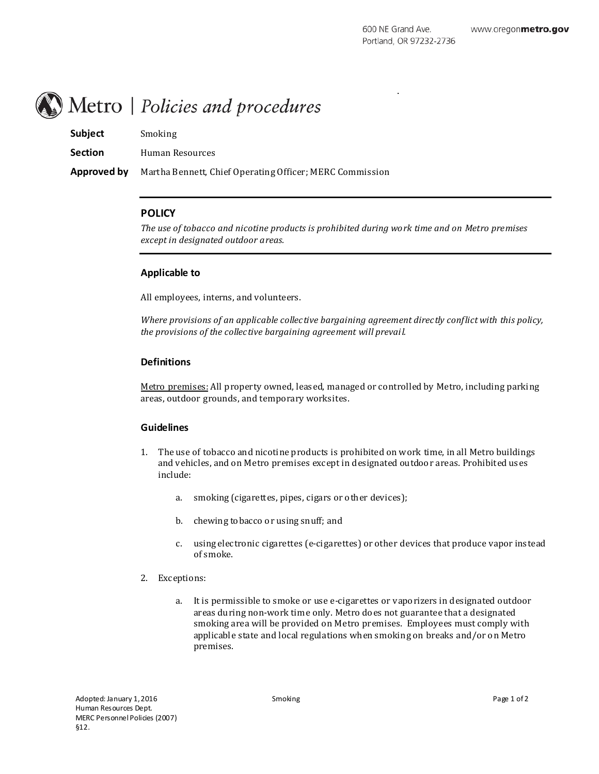# Metro | Policies and procedures

| <b>Subject</b> | Smoking                                                  |
|----------------|----------------------------------------------------------|
| <b>Section</b> | Human Resources                                          |
| Approved by    | Martha Bennett, Chief Operating Officer; MERC Commission |

## **POLICY**

*The use of tobacco and nicotine products is prohibited during work time and on Metro premises except in designated outdoor areas.*

## **Applicable to**

All employees, interns, and volunteers.

*Where provisions of an applicable collective bargaining agreement directly conflict with this policy, the provisions of the collective bargaining agreement will prevai l.*

## **Definitions**

Metro premises: All property owned, leased, managed or controlled by Metro, including parking areas, outdoor grounds, and temporary worksites.

#### **Guidelines**

- 1. The use of tobacco and nicotine products is prohibited on work time, in all Metro buildings and v ehicles, and on Metro premises except in designated outdoor areas. Prohibited uses include:
	- a. smoking (cigarettes, pipes, cigars or other devices);
	- b. chewing tobacco or using snuff; and
	- c. using electronic cigarettes (e-cigarettes) or other devices that produce vapor instead of smoke.
- 2. Exceptions:
	- a. It is permissible to smoke or use e-cigarettes or v aporizers in designated outdoor areas during non-work time only. Metro does not guarantee that a designated smoking area will be provided on Metro premises. Employees must comply with applicabl e state and local regulations when smoking on breaks and/or on Metro premises.